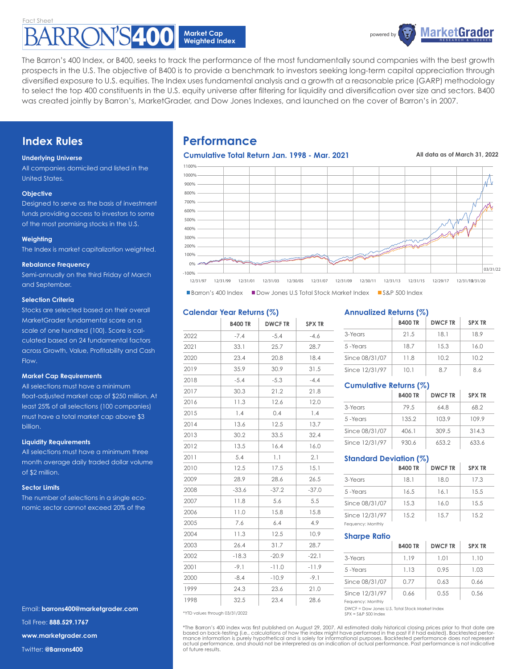

The Barron's 400 Index, or B400, seeks to track the performance of the most fundamentally sound companies with the best growth prospects in the U.S. The objective of B400 is to provide a benchmark to investors seeking long-term capital appreciation through diversified exposure to U.S. equities. The Index uses fundamental analysis and a growth at a reasonable price (GARP) methodology to select the top 400 constituents in the U.S. equity universe after filtering for liquidity and diversification over size and sectors. B400 was created jointly by Barron's, MarketGrader, and Dow Jones Indexes, and launched on the cover of Barron's in 2007.

# **Index Rules**

## **Underlying Universe**

All companies domiciled and listed in the United States.

## **Objective**

Designed to serve as the basis of investment funds providing access to investors to some of the most promising stocks in the U.S.

## **Weighting**

The Index is market capitalization weighted.

## **Rebalance Frequency**

Semi-annually on the third Friday of March and September.

## **Selection Criteria**

Stocks are selected based on their overall MarketGrader fundamental score on a scale of one hundred (100). Score is calculated based on 24 fundamental factors across Growth, Value, Profitability and Cash Flow.

## **Market Cap Requirements**

All selections must have a minimum float-adjusted market cap of \$250 million. At least 25% of all selections (100 companies) must have a total market cap above \$3 billion.

## **Liquidity Requirements**

All selections must have a minimum three month average daily traded dollar volume of \$2 million.

## **Sector Limits**

The number of selections in a single economic sector cannot exceed 20% of the

Email: **barrons400@marketgrader.com** Toll Free: **888.529.1767 www.marketgrader.com** Twitter: **@Barrons400**

# **Performance**

**Cumulative Total Return Jan. 1998 - Mar. 2021**

**All data as of March 31, 2022**



**Barron's 400 Index Dow Jones U.S Total Stock Market Index DIGSAP 500 Index** 

## **Calendar Year Returns (%)**

|      | <b>B400 TR</b> | <b>DWCFTR</b> | <b>SPX TR</b> |
|------|----------------|---------------|---------------|
| 2022 | $-7.4$         | $-5.4$        | $-4.6$        |
| 2021 | 33.1           | 25.7          | 28.7          |
| 2020 | 23.4           | 20.8          | 18.4          |
| 2019 | 35.9           | 30.9          | 31.5          |
| 2018 | $-5.4$         | $-5.3$        | $-4.4$        |
| 2017 | 30.3           | 21.2          | 21.8          |
| 2016 | 11.3           | 12.6          | 12.0          |
| 2015 | 1.4            | 0.4           | 1.4           |
| 2014 | 13.6           | 12.5          | 13.7          |
| 2013 | 30.2           | 33.5          | 32.4          |
| 2012 | 13.5           | 16.4          | 16.0          |
| 2011 | 5.4            | 1.1           | 2.1           |
| 2010 | 12.5           | 17.5          | 15.1          |
| 2009 | 28.9           | 28.6          | 26.5          |
| 2008 | $-33.6$        | $-37.2$       | $-37.0$       |
| 2007 | 11.8           | 5.6           | 5.5           |
| 2006 | 11.0           | 15.8          | 15.8          |
| 2005 | 7.6            | 6.4           | 4.9           |
| 2004 | 11.3           | 12.5          | 10.9          |
| 2003 | 26.4           | 31.7          | 28.7          |
| 2002 | $-18.3$        | $-20.9$       | $-22.1$       |
| 2001 | $-9.1$         | $-11.0$       | $-11.9$       |
| 2000 | $-8.4$         | $-10.9$       | $-9.1$        |
| 1999 | 24.3           | 23.6          | 21.0          |
| 1998 | 32.5           | 23.4          | 28.6          |

**Annualized Returns (%)**

|                | <b>B400 TR</b> | <b>DWCFTR</b> | <b>SPX TR</b> |
|----------------|----------------|---------------|---------------|
| 3-Years        | 21.5           | 18.1          | 18.9          |
| 5-Years        | 18.7           | 15.3          | 16.0          |
| Since 08/31/07 | 11.8           | 10.2          | 10.2          |
| Since 12/31/97 | 10.1           | 87            | 86            |

## **Cumulative Returns (%)**

|                | <b>B400 TR</b> | <b>DWCFTR</b> | <b>SPX TR</b> |
|----------------|----------------|---------------|---------------|
| 3-Years        | 79.5           | 64.8          | 68.2          |
| 5-Years        | 135.2          | 103.9         | 109.9         |
| Since 08/31/07 | 406.1          | 309.5         | 314.3         |
| Since 12/31/97 | 930.6          | 653.2         | 633.6         |

## **Standard Deviation (%)**

|                   | <b>B400 TR</b> | <b>DWCFTR</b> | <b>SPX TR</b> |
|-------------------|----------------|---------------|---------------|
| 3-Years           | 18.1           | 18.0          | 17.3          |
| 5-Years           | 16.5           | 16.1          | 15.5          |
| Since 08/31/07    | 15.3           | 16.0          | 15.5          |
| Since 12/31/97    | 15.2           | 15.7          | 15.2          |
| Feauency: Monthly |                |               |               |

## **Sharpe Ratio**

|                                     | <b>B400 TR</b> | <b>DWCFTR</b> | <b>SPX TR</b> |
|-------------------------------------|----------------|---------------|---------------|
| 3-Years                             | 1.19           | 1.01          | 1.10          |
| 5-Years                             | 1.13           | 0.95          | 1.03          |
| Since 08/31/07                      | 0.77           | 0.63          | 0.66          |
| Since 12/31/97<br>Fequency: Monthly | 0.66           | 0.55          | 0.56          |

DWCF = Dow Jones U.S. Total Stock Market Index \*YTD values through 03/31/2022 SPX = S&P 500 Index

\*The Barron's 400 index was first published on August 29, 2007. All estimated daily historical closing prices prior to that date are<br>based on back-testing (i.e., calculations of how the index might have performed in the pa actual performance, and should not be interpreted as an indication of actual performance. Past performance is not indicative of future results.